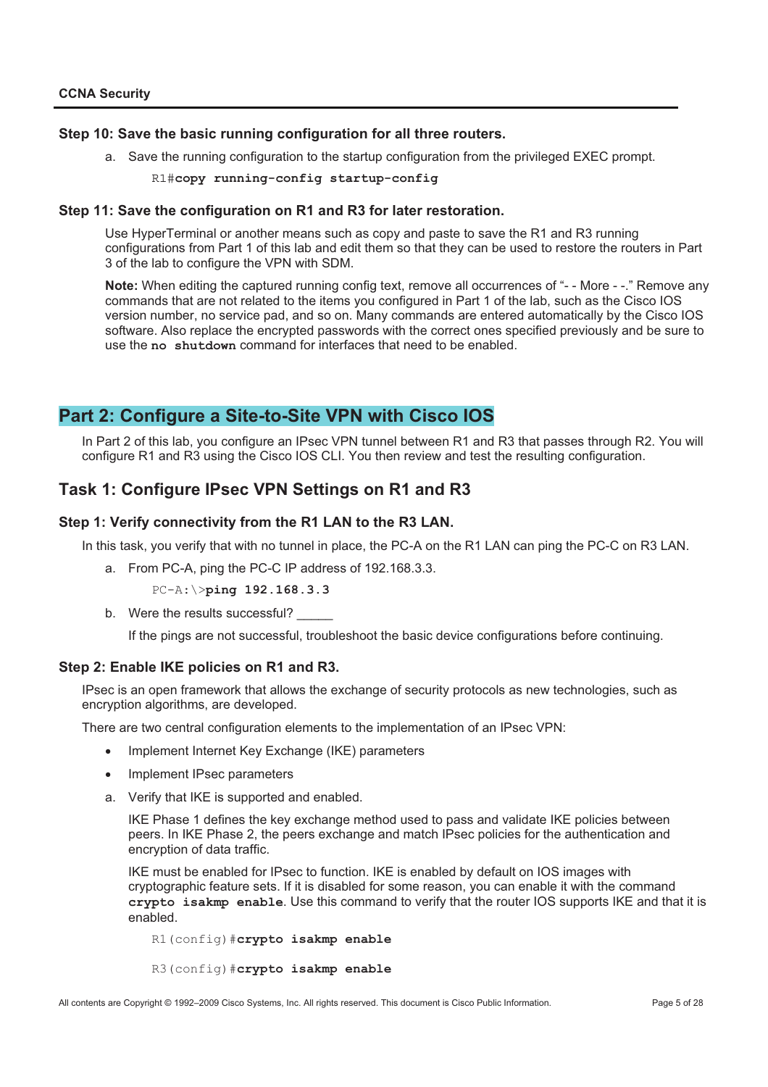### **Step 10: Save the basic running configuration for all three routers.**

a. Save the running configuration to the startup configuration from the privileged EXEC prompt.

R1#**copy running-config startup-config**

#### **Step 11: Save the configuration on R1 and R3 for later restoration.**

Use HyperTerminal or another means such as copy and paste to save the R1 and R3 running configurations from Part 1 of this lab and edit them so that they can be used to restore the routers in Part 3 of the lab to configure the VPN with SDM.

**Note:** When editing the captured running config text, remove all occurrences of "- - More - -." Remove any commands that are not related to the items you configured in Part 1 of the lab, such as the Cisco IOS version number, no service pad, and so on. Many commands are entered automatically by the Cisco IOS software. Also replace the encrypted passwords with the correct ones specified previously and be sure to use the **no shutdown** command for interfaces that need to be enabled.

# **Part 2: Configure a Site-to-Site VPN with Cisco IOS**

In Part 2 of this lab, you configure an IPsec VPN tunnel between R1 and R3 that passes through R2. You will configure R1 and R3 using the Cisco IOS CLI. You then review and test the resulting configuration.

## **Task 1: Configure IPsec VPN Settings on R1 and R3**

### **Step 1: Verify connectivity from the R1 LAN to the R3 LAN.**

In this task, you verify that with no tunnel in place, the PC-A on the R1 LAN can ping the PC-C on R3 LAN.

a. From PC-A, ping the PC-C IP address of 192.168.3.3.

PC-A:\>**ping 192.168.3.3**

b. Were the results successful?

If the pings are not successful, troubleshoot the basic device configurations before continuing.

#### **Step 2: Enable IKE policies on R1 and R3.**

IPsec is an open framework that allows the exchange of security protocols as new technologies, such as encryption algorithms, are developed.

There are two central configuration elements to the implementation of an IPsec VPN:

- Implement Internet Key Exchange (IKE) parameters
- Implement IPsec parameters
- a. Verify that IKE is supported and enabled.

IKE Phase 1 defines the key exchange method used to pass and validate IKE policies between peers. In IKE Phase 2, the peers exchange and match IPsec policies for the authentication and encryption of data traffic.

IKE must be enabled for IPsec to function. IKE is enabled by default on IOS images with cryptographic feature sets. If it is disabled for some reason, you can enable it with the command **crypto isakmp enable**. Use this command to verify that the router IOS supports IKE and that it is enabled.

R1(config)#**crypto isakmp enable** 

R3(config)#**crypto isakmp enable**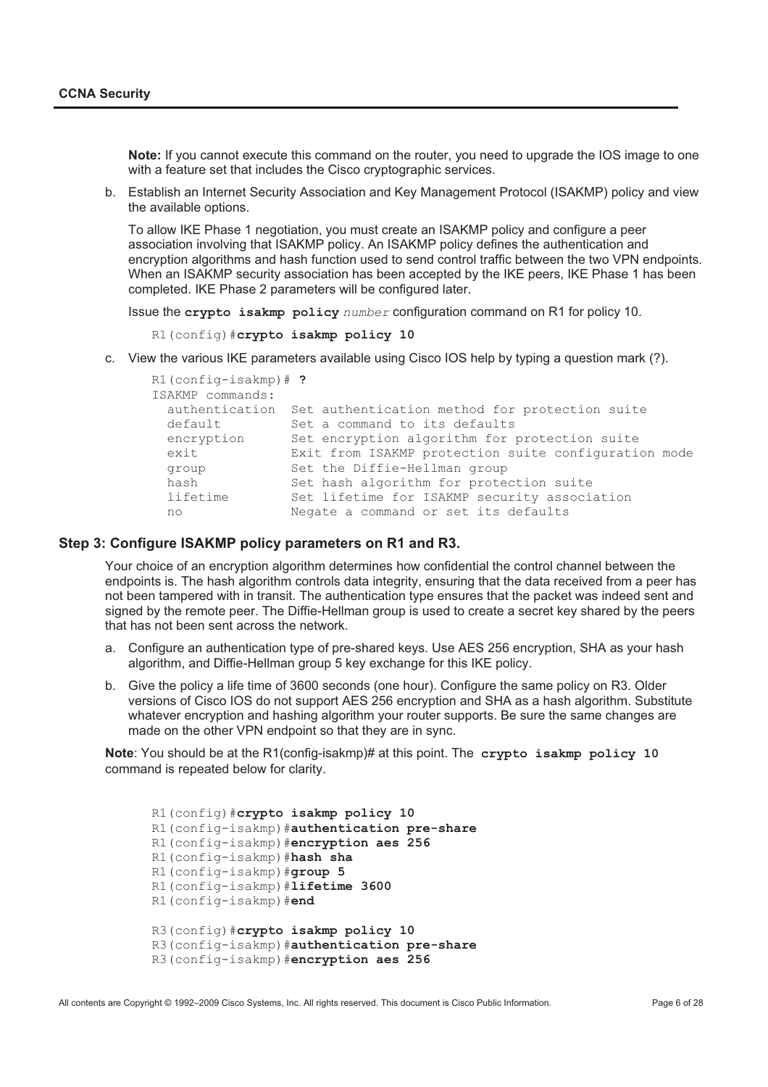**Note:** If you cannot execute this command on the router, you need to upgrade the IOS image to one with a feature set that includes the Cisco cryptographic services.

b. Establish an Internet Security Association and Key Management Protocol (ISAKMP) policy and view the available options.

To allow IKE Phase 1 negotiation, you must create an ISAKMP policy and configure a peer association involving that ISAKMP policy. An ISAKMP policy defines the authentication and encryption algorithms and hash function used to send control traffic between the two VPN endpoints. When an ISAKMP security association has been accepted by the IKE peers, IKE Phase 1 has been completed. IKE Phase 2 parameters will be configured later.

Issue the **crypto isakmp policy** *number* configuration command on R1 for policy 10.

R1(config)#**crypto isakmp policy 10**

c. View the various IKE parameters available using Cisco IOS help by typing a question mark (?).

| $R1$ (config-isakmp) $#$ ?<br>ISAKMP commands: |                                                               |
|------------------------------------------------|---------------------------------------------------------------|
|                                                | authentication Set authentication method for protection suite |
| default                                        | Set a command to its defaults                                 |
| encryption                                     | Set encryption algorithm for protection suite                 |
| exit                                           | Exit from ISAKMP protection suite configuration mode          |
| group                                          | Set the Diffie-Hellman group                                  |
| hash                                           | Set hash algorithm for protection suite                       |
| lifetime                                       | Set lifetime for ISAKMP security association                  |
| no                                             | Negate a command or set its defaults                          |

### **Step 3: Configure ISAKMP policy parameters on R1 and R3.**

Your choice of an encryption algorithm determines how confidential the control channel between the endpoints is. The hash algorithm controls data integrity, ensuring that the data received from a peer has not been tampered with in transit. The authentication type ensures that the packet was indeed sent and signed by the remote peer. The Diffie-Hellman group is used to create a secret key shared by the peers that has not been sent across the network.

- a. Configure an authentication type of pre-shared keys. Use AES 256 encryption, SHA as your hash algorithm, and Diffie-Hellman group 5 key exchange for this IKE policy.
- b. Give the policy a life time of 3600 seconds (one hour). Configure the same policy on R3. Older versions of Cisco IOS do not support AES 256 encryption and SHA as a hash algorithm. Substitute whatever encryption and hashing algorithm your router supports. Be sure the same changes are made on the other VPN endpoint so that they are in sync.

**Note**: You should be at the R1(config-isakmp)# at this point. The **crypto isakmp policy 10** command is repeated below for clarity.

R1(config)#**crypto isakmp policy 10** R1(config-isakmp)#**authentication pre-share** R1(config-isakmp)#**encryption aes 256** R1(config-isakmp)#**hash sha** R1(config-isakmp)#**group 5** R1(config-isakmp)#**lifetime 3600** R1(config-isakmp)#**end** R3(config)#**crypto isakmp policy 10** R3(config-isakmp)#**authentication pre-share** R3(config-isakmp)#**encryption aes 256**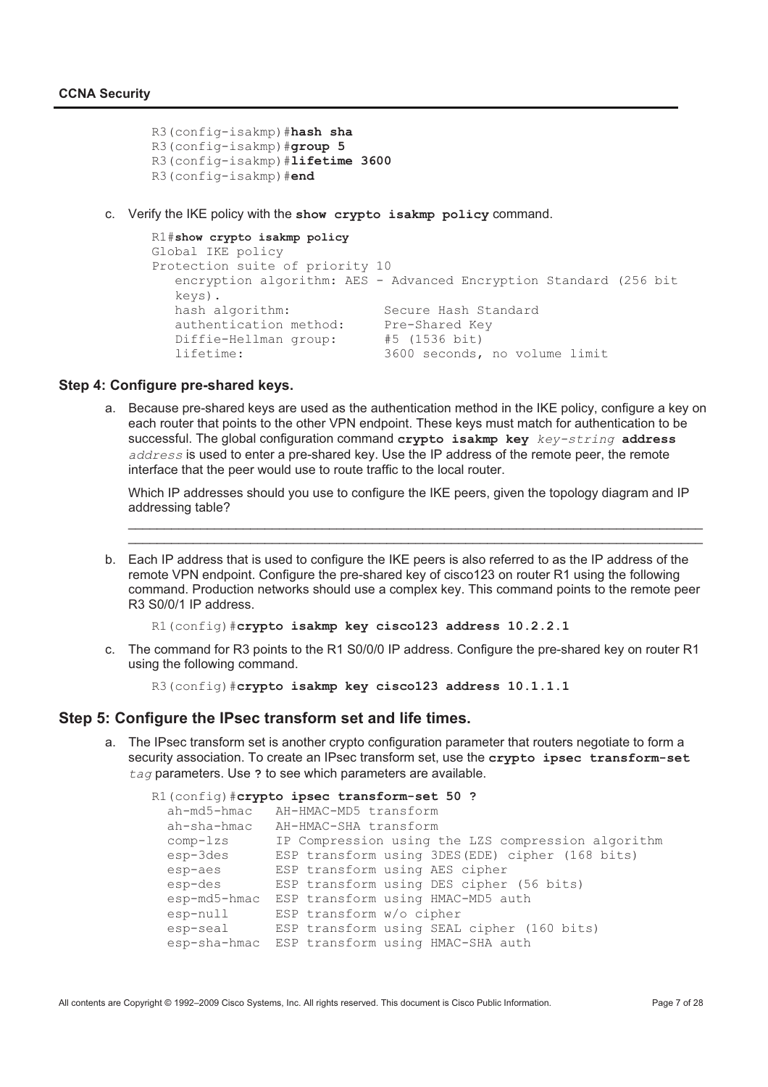```
R3(config-isakmp)#hash sha
R3(config-isakmp)#group 5
R3(config-isakmp)#lifetime 3600
R3(config-isakmp)#end
```
c. Verify the IKE policy with the **show crypto isakmp policy** command.

```
R1#show crypto isakmp policy 
Global IKE policy
Protection suite of priority 10
   encryption algorithm: AES - Advanced Encryption Standard (256 bit 
   keys).<br>hash algorithm:
                              Secure Hash Standard<br>Pre-Shared Kev
   authentication method:
   Diffie-Hellman group: #5 (1536 bit) 
   lifetime: 3600 seconds, no volume limit
```
#### **Step 4: Configure pre-shared keys.**

a. Because pre-shared keys are used as the authentication method in the IKE policy, configure a key on each router that points to the other VPN endpoint. These keys must match for authentication to be successful. The global configuration command **crypto isakmp key** *key-string* **address** *address* is used to enter a pre-shared key. Use the IP address of the remote peer, the remote interface that the peer would use to route traffic to the local router.

Which IP addresses should you use to configure the IKE peers, given the topology diagram and IP addressing table?

\_\_\_\_\_\_\_\_\_\_\_\_\_\_\_\_\_\_\_\_\_\_\_\_\_\_\_\_\_\_\_\_\_\_\_\_\_\_\_\_\_\_\_\_\_\_\_\_\_\_\_\_\_\_\_\_\_\_\_\_\_\_\_\_\_\_\_\_\_\_\_\_\_\_\_\_\_\_\_\_ \_\_\_\_\_\_\_\_\_\_\_\_\_\_\_\_\_\_\_\_\_\_\_\_\_\_\_\_\_\_\_\_\_\_\_\_\_\_\_\_\_\_\_\_\_\_\_\_\_\_\_\_\_\_\_\_\_\_\_\_\_\_\_\_\_\_\_\_\_\_\_\_\_\_\_\_\_\_\_\_

b. Each IP address that is used to configure the IKE peers is also referred to as the IP address of the remote VPN endpoint. Configure the pre-shared key of cisco123 on router R1 using the following command. Production networks should use a complex key. This command points to the remote peer R3 S0/0/1 IP address.

```
R1(config)#crypto isakmp key cisco123 address 10.2.2.1
```
c. The command for R3 points to the R1 S0/0/0 IP address. Configure the pre-shared key on router R1 using the following command.

R3(config)#**crypto isakmp key cisco123 address 10.1.1.1** 

#### **Step 5: Configure the IPsec transform set and life times.**

a. The IPsec transform set is another crypto configuration parameter that routers negotiate to form a security association. To create an IPsec transform set, use the **crypto ipsec transform-set**  *tag* parameters. Use **?** to see which parameters are available.

|              | R1(config)#crypto ipsec transform-set 50 ?         |
|--------------|----------------------------------------------------|
| ah-md5-hmac  | AH-HMAC-MD5 transform                              |
| ah-sha-hmac  | AH-HMAC-SHA transform                              |
| $comp-1zs$   | IP Compression using the LZS compression algorithm |
| esp-3des     | ESP transform using 3DES (EDE) cipher (168 bits)   |
| esp-aes      | ESP transform using AES cipher                     |
| esp-des      | ESP transform using DES cipher (56 bits)           |
| esp-md5-hmac | ESP transform using HMAC-MD5 auth                  |
| esp-null     | ESP transform w/o cipher                           |
| esp-seal     | ESP transform using SEAL cipher (160 bits)         |
|              | esp-sha-hmac ESP transform using HMAC-SHA auth     |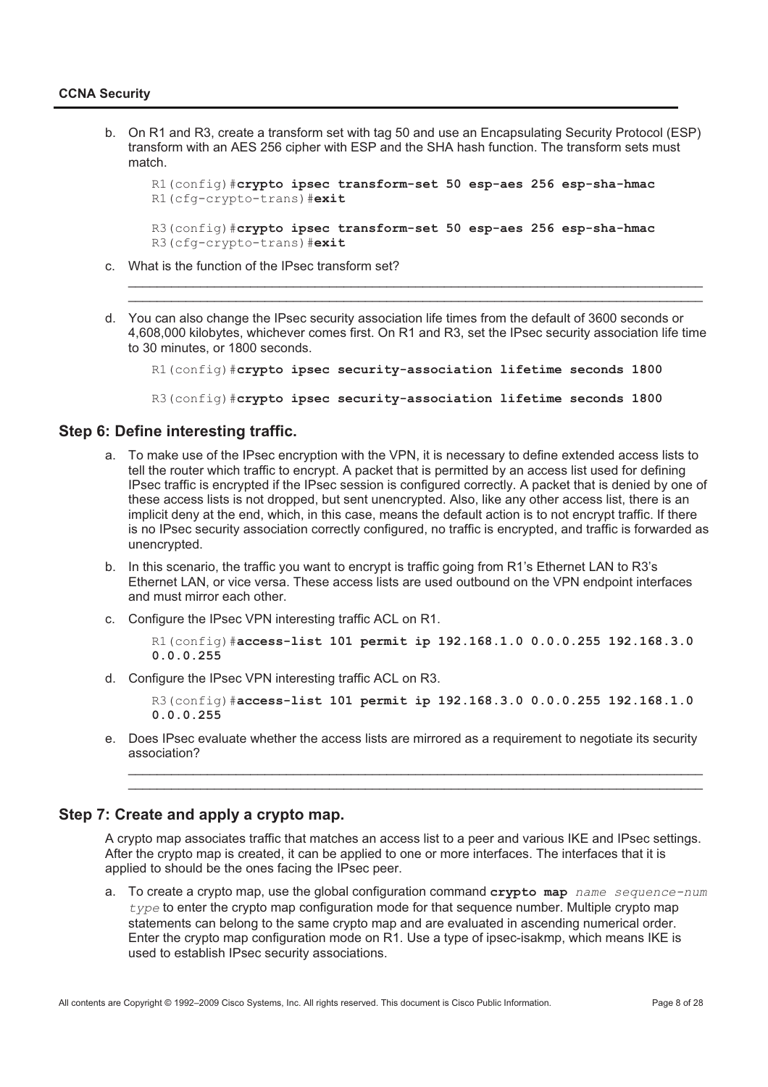b. On R1 and R3, create a transform set with tag 50 and use an Encapsulating Security Protocol (ESP) transform with an AES 256 cipher with ESP and the SHA hash function. The transform sets must match.

```
R1(config)#crypto ipsec transform-set 50 esp-aes 256 esp-sha-hmac 
R1(cfg-crypto-trans)#exit
R3(config)#crypto ipsec transform-set 50 esp-aes 256 esp-sha-hmac
```

```
R3(cfg-crypto-trans)#exit
```
- c. What is the function of the IPsec transform set?
- d. You can also change the IPsec security association life times from the default of 3600 seconds or 4,608,000 kilobytes, whichever comes first. On R1 and R3, set the IPsec security association life time to 30 minutes, or 1800 seconds.

\_\_\_\_\_\_\_\_\_\_\_\_\_\_\_\_\_\_\_\_\_\_\_\_\_\_\_\_\_\_\_\_\_\_\_\_\_\_\_\_\_\_\_\_\_\_\_\_\_\_\_\_\_\_\_\_\_\_\_\_\_\_\_\_\_\_\_\_\_\_\_\_\_\_\_\_\_\_\_\_ \_\_\_\_\_\_\_\_\_\_\_\_\_\_\_\_\_\_\_\_\_\_\_\_\_\_\_\_\_\_\_\_\_\_\_\_\_\_\_\_\_\_\_\_\_\_\_\_\_\_\_\_\_\_\_\_\_\_\_\_\_\_\_\_\_\_\_\_\_\_\_\_\_\_\_\_\_\_\_\_

```
R1(config)#crypto ipsec security-association lifetime seconds 1800
```
R3(config)#**crypto ipsec security-association lifetime seconds 1800**

#### **Step 6: Define interesting traffic.**

- a. To make use of the IPsec encryption with the VPN, it is necessary to define extended access lists to tell the router which traffic to encrypt. A packet that is permitted by an access list used for defining IPsec traffic is encrypted if the IPsec session is configured correctly. A packet that is denied by one of these access lists is not dropped, but sent unencrypted. Also, like any other access list, there is an implicit deny at the end, which, in this case, means the default action is to not encrypt traffic. If there is no IPsec security association correctly configured, no traffic is encrypted, and traffic is forwarded as unencrypted.
- b. In this scenario, the traffic you want to encrypt is traffic going from R1's Ethernet LAN to R3's Ethernet LAN, or vice versa. These access lists are used outbound on the VPN endpoint interfaces and must mirror each other.
- c. Configure the IPsec VPN interesting traffic ACL on R1.

R1(config)#**access-list 101 permit ip 192.168.1.0 0.0.0.255 192.168.3.0 0.0.0.255**

d. Configure the IPsec VPN interesting traffic ACL on R3.

R3(config)#**access-list 101 permit ip 192.168.3.0 0.0.0.255 192.168.1.0 0.0.0.255**

e. Does IPsec evaluate whether the access lists are mirrored as a requirement to negotiate its security association?

\_\_\_\_\_\_\_\_\_\_\_\_\_\_\_\_\_\_\_\_\_\_\_\_\_\_\_\_\_\_\_\_\_\_\_\_\_\_\_\_\_\_\_\_\_\_\_\_\_\_\_\_\_\_\_\_\_\_\_\_\_\_\_\_\_\_\_\_\_\_\_\_\_\_\_\_\_\_\_\_ \_\_\_\_\_\_\_\_\_\_\_\_\_\_\_\_\_\_\_\_\_\_\_\_\_\_\_\_\_\_\_\_\_\_\_\_\_\_\_\_\_\_\_\_\_\_\_\_\_\_\_\_\_\_\_\_\_\_\_\_\_\_\_\_\_\_\_\_\_\_\_\_\_\_\_\_\_\_\_\_

### **Step 7: Create and apply a crypto map.**

A crypto map associates traffic that matches an access list to a peer and various IKE and IPsec settings. After the crypto map is created, it can be applied to one or more interfaces. The interfaces that it is applied to should be the ones facing the IPsec peer.

a. To create a crypto map, use the global configuration command **crypto map** *name sequence-num type* to enter the crypto map configuration mode for that sequence number. Multiple crypto map statements can belong to the same crypto map and are evaluated in ascending numerical order. Enter the crypto map configuration mode on R1. Use a type of ipsec-isakmp, which means IKE is used to establish IPsec security associations.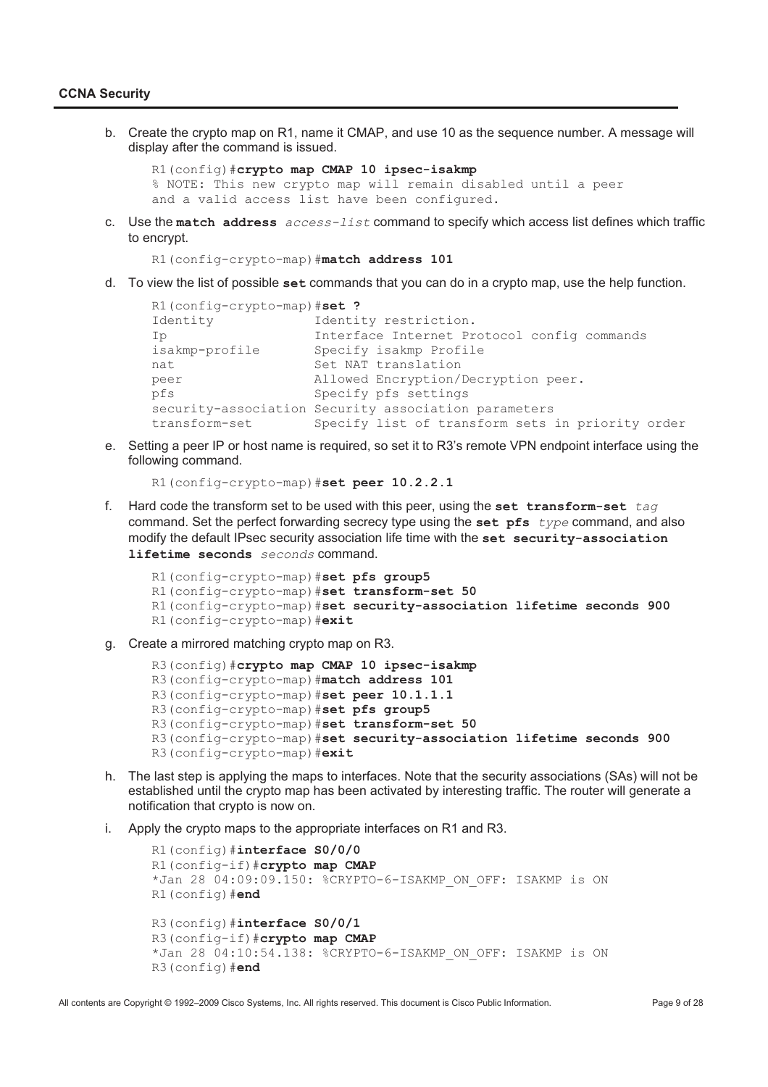b. Create the crypto map on R1, name it CMAP, and use 10 as the sequence number. A message will display after the command is issued.

```
R1(config)#crypto map CMAP 10 ipsec-isakmp
% NOTE: This new crypto map will remain disabled until a peer
and a valid access list have been configured.
```
c. Use the **match address** *access-list* command to specify which access list defines which traffic to encrypt.

```
R1(config-crypto-map)#match address 101
```
d. To view the list of possible **set** commands that you can do in a crypto map, use the help function.

```
R1(config-crypto-map)#set ?
Identity 1dentity restriction.
Ip Interface Internet Protocol config commands 
isakmp-profile Specify isakmp Profile 
nat Set NAT translation
peer Allowed Encryption/Decryption peer. 
pfs Specify pfs settings 
security-association Security association parameters
transform-set Specify list of transform sets in priority order
```
e. Setting a peer IP or host name is required, so set it to R3's remote VPN endpoint interface using the following command.

```
R1(config-crypto-map)#set peer 10.2.2.1
```
f. Hard code the transform set to be used with this peer, using the **set transform-set** *tag* command. Set the perfect forwarding secrecy type using the **set pfs** *type* command, and also modify the default IPsec security association life time with the **set security-association lifetime seconds** *seconds* command.

```
R1(config-crypto-map)#set pfs group5 
R1(config-crypto-map)#set transform-set 50 
R1(config-crypto-map)#set security-association lifetime seconds 900 
R1(config-crypto-map)#exit
```
g. Create a mirrored matching crypto map on R3.

```
R3(config)#crypto map CMAP 10 ipsec-isakmp
R3(config-crypto-map)#match address 101
R3(config-crypto-map)#set peer 10.1.1.1
R3(config-crypto-map)#set pfs group5
R3(config-crypto-map)#set transform-set 50
R3(config-crypto-map)#set security-association lifetime seconds 900
R3(config-crypto-map)#exit
```
- h. The last step is applying the maps to interfaces. Note that the security associations (SAs) will not be established until the crypto map has been activated by interesting traffic. The router will generate a notification that crypto is now on.
- i. Apply the crypto maps to the appropriate interfaces on R1 and R3.

```
R1(config)#interface S0/0/0
R1(config-if)#crypto map CMAP
*Jan 28 04:09:09.150: %CRYPTO-6-ISAKMP_ON_OFF: ISAKMP is ON
R1(config)#end
R3(config)#interface S0/0/1
R3(config-if)#crypto map CMAP
*Jan 28 04:10:54.138: %CRYPTO-6-ISAKMP ON OFF: ISAKMP is ON
R3(config)#end
```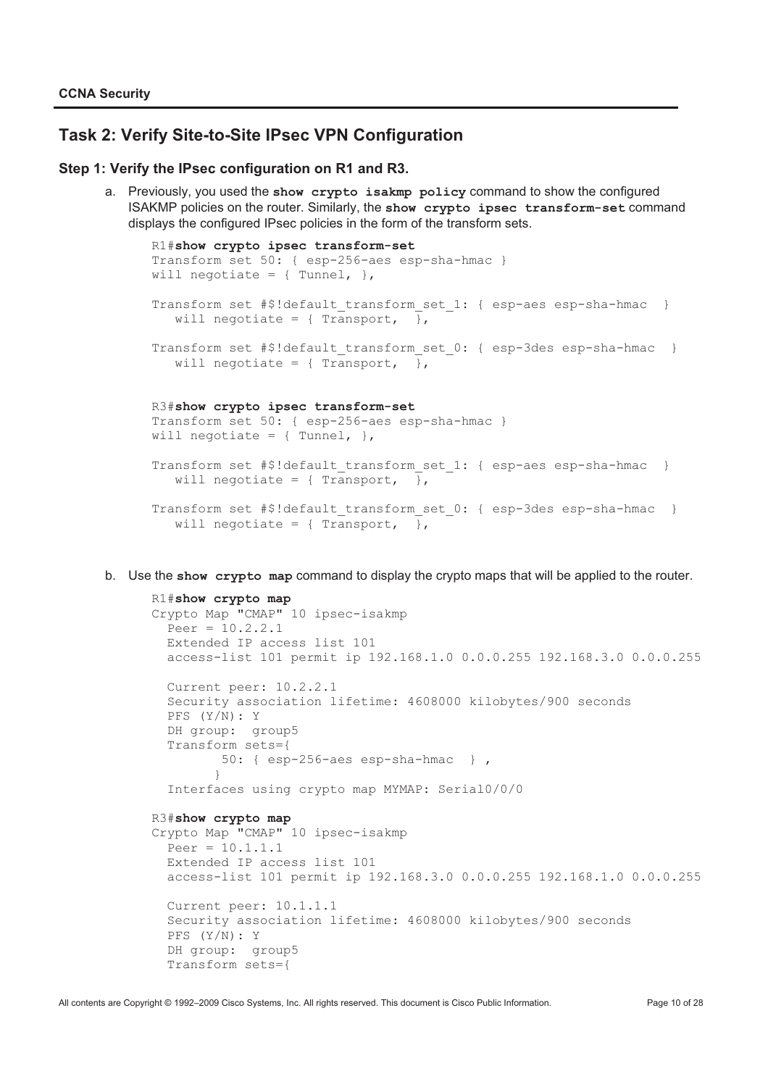# **Task 2: Verify Site-to-Site IPsec VPN Configuration**

#### **Step 1: Verify the IPsec configuration on R1 and R3.**

a. Previously, you used the **show crypto isakmp policy** command to show the configured ISAKMP policies on the router. Similarly, the **show crypto ipsec transform-set** command displays the configured IPsec policies in the form of the transform sets.

```
R1#show crypto ipsec transform-set
Transform set 50: { esp-256-aes esp-sha-hmac }
will negotiate = \{ Tunnel, \},
Transform set #$!default transform set 1: { esp-aes esp-sha-hmac }
   will negotiate = { Tansport, \frac{1}{2},
Transform set #$!default_transform_set_0: { esp-3des esp-sha-hmac }
   will negotiate = \{ Transport, \},
R3#show crypto ipsec transform-set
Transform set 50: { esp-256-aes esp-sha-hmac }
will negotiate = \{ Tunnel, \},
Transform set #$!default transform set 1: { esp-aes esp-sha-hmac }
   will negotiate = \{ Transport, \},
Transform set #$!default transform set 0: { esp-3des esp-sha-hmac }
   will negotiate = \{ Transport, \},
```
b. Use the **show crypto map** command to display the crypto maps that will be applied to the router.

```
R1#show crypto map
Crypto Map "CMAP" 10 ipsec-isakmp 
 Peer = 10.2.2.1 Extended IP access list 101 
  access-list 101 permit ip 192.168.1.0 0.0.0.255 192.168.3.0 0.0.0.255 
  Current peer: 10.2.2.1 
  Security association lifetime: 4608000 kilobytes/900 seconds 
  PFS (Y/N): Y 
  DH group: group5 
   Transform sets={ 
          50: { esp-256-aes esp-sha-hmac } , 
 } 
   Interfaces using crypto map MYMAP: Serial0/0/0 
R3#show crypto map
Crypto Map "CMAP" 10 ipsec-isakmp 
  Peer = 10.1.1.1 Extended IP access list 101 
  access-list 101 permit ip 192.168.3.0 0.0.0.255 192.168.1.0 0.0.0.255 
  Current peer: 10.1.1.1 
   Security association lifetime: 4608000 kilobytes/900 seconds 
  PFS (Y/N): Y 
   DH group: group5 
  Transform sets={
```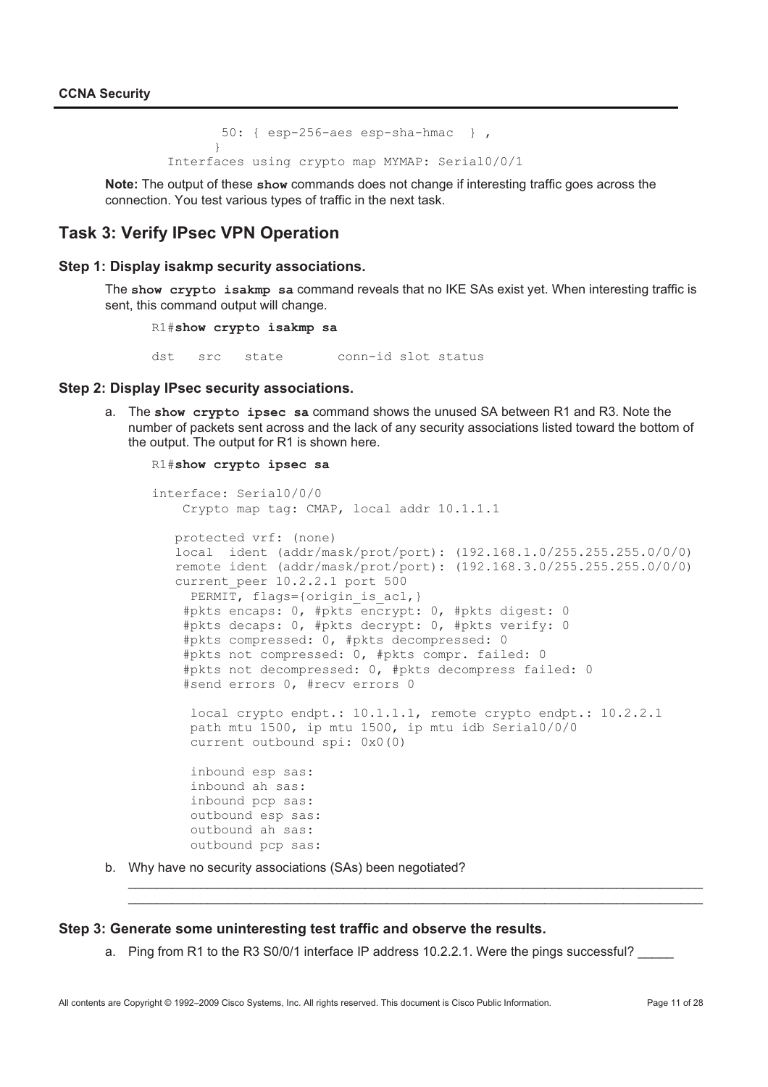50: { esp-256-aes esp-sha-hmac } , } Interfaces using crypto map MYMAP: Serial0/0/1

**Note:** The output of these **show** commands does not change if interesting traffic goes across the connection. You test various types of traffic in the next task.

## **Task 3: Verify IPsec VPN Operation**

#### **Step 1: Display isakmp security associations.**

The **show crypto isakmp sa** command reveals that no IKE SAs exist yet. When interesting traffic is sent, this command output will change.

R1#**show crypto isakmp sa**

dst src state conn-id slot status

#### **Step 2: Display IPsec security associations.**

a. The **show crypto ipsec sa** command shows the unused SA between R1 and R3. Note the number of packets sent across and the lack of any security associations listed toward the bottom of the output. The output for R1 is shown here.

```
R1#show crypto ipsec sa
```

```
interface: Serial0/0/0 
    Crypto map tag: CMAP, local addr 10.1.1.1 
    protected vrf: (none) 
    local ident (addr/mask/prot/port): (192.168.1.0/255.255.255.0/0/0) 
    remote ident (addr/mask/prot/port): (192.168.3.0/255.255.255.0/0/0) 
   current peer 10.2.2.1 port 500
     PERMIT, flags={origin is acl, }
     #pkts encaps: 0, #pkts encrypt: 0, #pkts digest: 0 
     #pkts decaps: 0, #pkts decrypt: 0, #pkts verify: 0 
     #pkts compressed: 0, #pkts decompressed: 0 
     #pkts not compressed: 0, #pkts compr. failed: 0
     #pkts not decompressed: 0, #pkts decompress failed: 0 
     #send errors 0, #recv errors 0 
      local crypto endpt.: 10.1.1.1, remote crypto endpt.: 10.2.2.1 
      path mtu 1500, ip mtu 1500, ip mtu idb Serial0/0/0 
      current outbound spi: 0x0(0) 
      inbound esp sas: 
      inbound ah sas: 
      inbound pcp sas: 
      outbound esp sas: 
      outbound ah sas: 
      outbound pcp sas:
```
\_\_\_\_\_\_\_\_\_\_\_\_\_\_\_\_\_\_\_\_\_\_\_\_\_\_\_\_\_\_\_\_\_\_\_\_\_\_\_\_\_\_\_\_\_\_\_\_\_\_\_\_\_\_\_\_\_\_\_\_\_\_\_\_\_\_\_\_\_\_\_\_\_\_\_\_\_\_\_\_ \_\_\_\_\_\_\_\_\_\_\_\_\_\_\_\_\_\_\_\_\_\_\_\_\_\_\_\_\_\_\_\_\_\_\_\_\_\_\_\_\_\_\_\_\_\_\_\_\_\_\_\_\_\_\_\_\_\_\_\_\_\_\_\_\_\_\_\_\_\_\_\_\_\_\_\_\_\_\_\_

b. Why have no security associations (SAs) been negotiated?

#### **Step 3: Generate some uninteresting test traffic and observe the results.**

a. Ping from R1 to the R3 S0/0/1 interface IP address 10.2.2.1. Were the pings successful?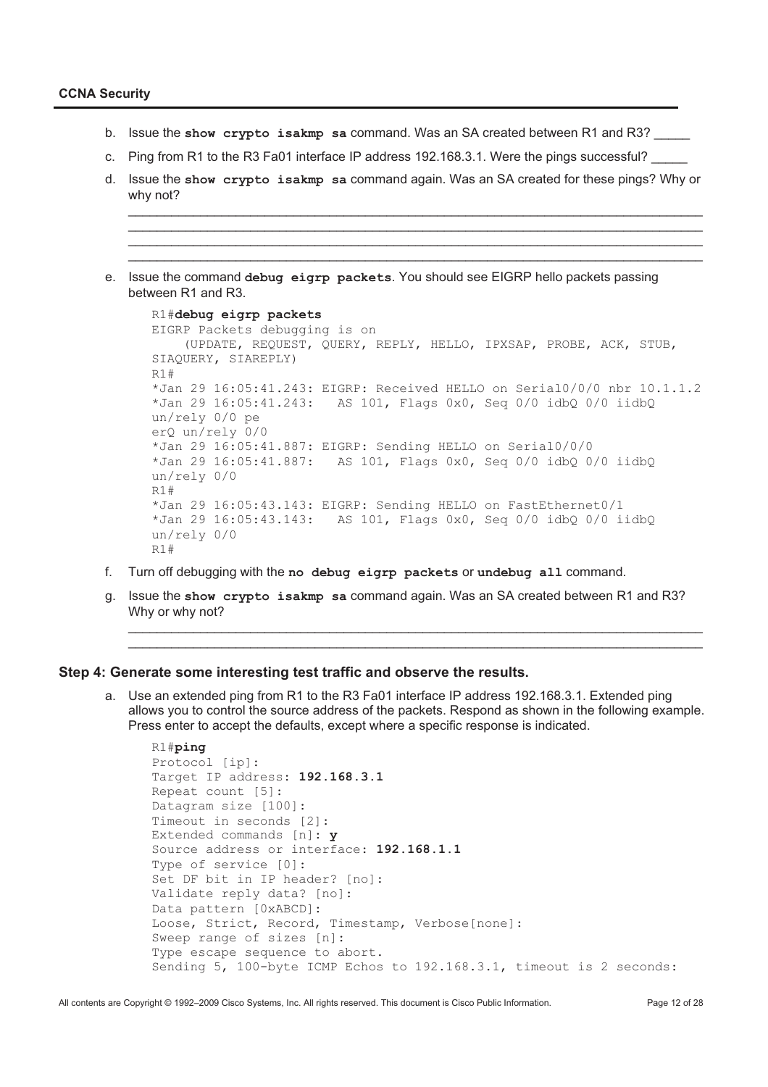- b. Issue the **show crypto isakmp sa** command. Was an SA created between R1 and R3? \_\_\_\_\_
- c. Ping from R1 to the R3 Fa01 interface IP address 192.168.3.1. Were the pings successful?
- d. Issue the **show crypto isakmp sa** command again. Was an SA created for these pings? Why or why not?

\_\_\_\_\_\_\_\_\_\_\_\_\_\_\_\_\_\_\_\_\_\_\_\_\_\_\_\_\_\_\_\_\_\_\_\_\_\_\_\_\_\_\_\_\_\_\_\_\_\_\_\_\_\_\_\_\_\_\_\_\_\_\_\_\_\_\_\_\_\_\_\_\_\_\_\_\_\_\_\_ \_\_\_\_\_\_\_\_\_\_\_\_\_\_\_\_\_\_\_\_\_\_\_\_\_\_\_\_\_\_\_\_\_\_\_\_\_\_\_\_\_\_\_\_\_\_\_\_\_\_\_\_\_\_\_\_\_\_\_\_\_\_\_\_\_\_\_\_\_\_\_\_\_\_\_\_\_\_\_\_ \_\_\_\_\_\_\_\_\_\_\_\_\_\_\_\_\_\_\_\_\_\_\_\_\_\_\_\_\_\_\_\_\_\_\_\_\_\_\_\_\_\_\_\_\_\_\_\_\_\_\_\_\_\_\_\_\_\_\_\_\_\_\_\_\_\_\_\_\_\_\_\_\_\_\_\_\_\_\_\_ \_\_\_\_\_\_\_\_\_\_\_\_\_\_\_\_\_\_\_\_\_\_\_\_\_\_\_\_\_\_\_\_\_\_\_\_\_\_\_\_\_\_\_\_\_\_\_\_\_\_\_\_\_\_\_\_\_\_\_\_\_\_\_\_\_\_\_\_\_\_\_\_\_\_\_\_\_\_\_\_

e. Issue the command **debug eigrp packets**. You should see EIGRP hello packets passing between R1 and R3.

```
R1#debug eigrp packets
EIGRP Packets debugging is on 
     (UPDATE, REQUEST, QUERY, REPLY, HELLO, IPXSAP, PROBE, ACK, STUB, 
SIAQUERY, SIAREPLY) 
R1#
*Jan 29 16:05:41.243: EIGRP: Received HELLO on Serial0/0/0 nbr 10.1.1.2 
*Jan 29 16:05:41.243: AS 101, Flags 0x0, Seq 0/0 idbQ 0/0 iidbQ 
un/rely 0/0 pe 
erQ un/rely 0/0 
*Jan 29 16:05:41.887: EIGRP: Sending HELLO on Serial0/0/0 
*Jan 29 16:05:41.887: AS 101, Flags 0x0, Seq 0/0 idbQ 0/0 iidbQ 
un/rely 0/0 
R1#
*Jan 29 16:05:43.143: EIGRP: Sending HELLO on FastEthernet0/1 
*Jan 29 16:05:43.143: AS 101, Flags 0x0, Seq 0/0 idbQ 0/0 iidbQ 
un/rely 0/0 
D1#
```
- f. Turn off debugging with the **no debug eigrp packets** or **undebug all** command.
- g. Issue the **show crypto isakmp sa** command again. Was an SA created between R1 and R3? Why or why not?

\_\_\_\_\_\_\_\_\_\_\_\_\_\_\_\_\_\_\_\_\_\_\_\_\_\_\_\_\_\_\_\_\_\_\_\_\_\_\_\_\_\_\_\_\_\_\_\_\_\_\_\_\_\_\_\_\_\_\_\_\_\_\_\_\_\_\_\_\_\_\_\_\_\_\_\_\_\_\_\_ \_\_\_\_\_\_\_\_\_\_\_\_\_\_\_\_\_\_\_\_\_\_\_\_\_\_\_\_\_\_\_\_\_\_\_\_\_\_\_\_\_\_\_\_\_\_\_\_\_\_\_\_\_\_\_\_\_\_\_\_\_\_\_\_\_\_\_\_\_\_\_\_\_\_\_\_\_\_\_\_

#### **Step 4: Generate some interesting test traffic and observe the results.**

a. Use an extended ping from R1 to the R3 Fa01 interface IP address 192.168.3.1. Extended ping allows you to control the source address of the packets. Respond as shown in the following example. Press enter to accept the defaults, except where a specific response is indicated.

```
R1#ping
Protocol [ip]: 
Target IP address: 192.168.3.1
Repeat count [5]: 
Datagram size [100]: 
Timeout in seconds [2]: 
Extended commands [n]: y
Source address or interface: 192.168.1.1
Type of service [0]: 
Set DF bit in IP header? [no]: 
Validate reply data? [no]: 
Data pattern [0xABCD]: 
Loose, Strict, Record, Timestamp, Verbose[none]: 
Sweep range of sizes [n]: 
Type escape sequence to abort. 
Sending 5, 100-byte ICMP Echos to 192.168.3.1, timeout is 2 seconds:
```